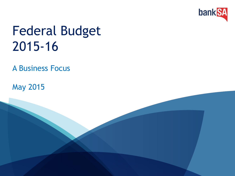

## Federal Budget 2015-16

A Business Focus

May 2015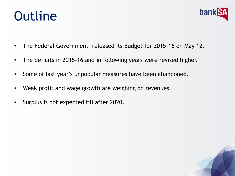## **Outline**



- The Federal Government released its Budget for 2015-16 on May 12.
- The deficits in 2015-16 and in following years were revised higher.
- Some of last year's unpopular measures have been abandoned.
- Weak profit and wage growth are weighing on revenues.
- Surplus is not expected till after 2020.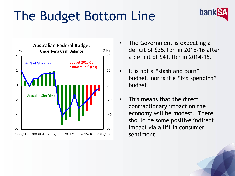# The Budget Bottom Line





- The Government is expecting a deficit of \$35.1bn in 2015-16 after a deficit of \$41.1bn in 2014-15.
- It is not a "slash and burn" budget, nor is it a "big spending" budget.
- This means that the direct contractionary impact on the economy will be modest. There should be some positive indirect impact via a lift in consumer sentiment.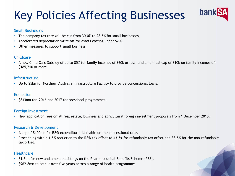## Key Policies Affecting Businesses



#### Small Businesses

- The company tax rate will be cut from 30.0% to 28.5% for small businesses.
- Accelerated depreciation write off for assets costing under \$20k.
- Other measures to support small business.

#### Childcare

• A new Child Care Subsidy of up to 85% for family incomes of \$60k or less, and an annual cap of \$10k on family incomes of \$185,710 or more.

#### Infrastructure

• Up to \$5bn for Northern Australia Infrastructure Facility to provide concessional loans.

#### **Education**

• \$843mn for 2016 and 2017 for preschool programmes.

#### Foreign Investment

• New application fees on all real estate, business and agricultural foreign investment proposals from 1 December 2015.

#### Research & Development

- A cap of \$100mn for R&D expenditure claimable on the concessional rate.
- Proceeding with a 1.5% reduction to the R&D tax offset to 43.5% for refundable tax offset and 38.5% for the non-refundable tax offset.

#### Healthcare.

- \$1.6bn for new and amended listings on the Pharmaceutical Benefits Scheme (PBS).
- \$962.8mn to be cut over five years across a range of health programmes.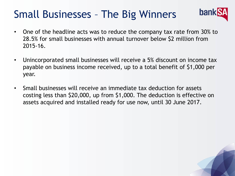### Small Businesses – The Big Winners



- One of the headline acts was to reduce the company tax rate from 30% to 28.5% for small businesses with annual turnover below \$2 million from 2015-16.
- Unincorporated small businesses will receive a 5% discount on income tax payable on business income received, up to a total benefit of \$1,000 per year.
- Small businesses will receive an immediate tax deduction for assets costing less than \$20,000, up from \$1,000. The deduction is effective on assets acquired and installed ready for use now, until 30 June 2017.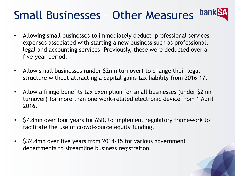#### **bankS** Small Businesses – Other Measures

- Allowing small businesses to immediately deduct professional services expenses associated with starting a new business such as professional, legal and accounting services. Previously, these were deducted over a five-year period.
- Allow small businesses (under \$2mn turnover) to change their legal structure without attracting a capital gains tax liability from 2016-17.
- Allow a fringe benefits tax exemption for small businesses (under \$2mn turnover) for more than one work-related electronic device from 1 April 2016.
- \$7.8mn over four years for ASIC to implement regulatory framework to facilitate the use of crowd-source equity funding.
- \$32.4mn over five years from 2014-15 for various government departments to streamline business registration.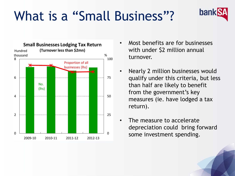# What is a "Small Business"?



• Most benefits are for businesses with under \$2 million annual turnover.

bank

- Nearly 2 million businesses would qualify under this criteria, but less than half are likely to benefit from the government's key measures (ie. have lodged a tax return).
- The measure to accelerate depreciation could bring forward some investment spending.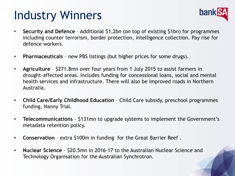## Industry Winners



- **Security and Defence**  Additional \$1.2bn (on top of existing \$1bn) for programmes including counter terrorism, border protection, intelligence collection. Pay rise for defence workers.
- **Pharmaceuticals**  new PBS listings (but higher prices for some drugs).
- **Agriculture** \$271.8mn over four years from 1 July 2015 to assist farmers in drought-affected areas. Includes funding for concessional loans, social and mental health services and infrastructure. There will also be improved roads in Northern Australia.
- **Child Care/Early Childhood Education**  Child Care subsidy, preschool programmes funding, Nanny Trial.
- **Telecommunications** \$131mn to upgrade systems to implement the Government's metadata retention policy.
- **Conservation** extra \$100m in funding for the Great Barrier Reef .
- **Nuclear Science**  \$20.5mn in 2016-17 to the Australian Nuclear Science and Technology Organisation for the Australian Synchrotron.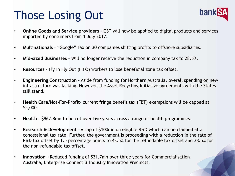## Those Losing Out



- **Online Goods and Service providers**  GST will now be applied to digital products and services imported by consumers from 1 July 2017.
- **Multinationals** "Google" Tax on 30 companies shifting profits to offshore subsidiaries.
- **Mid-sized Businesses** Will no longer receive the reduction in company tax to 28.5%.
- **Resources** Fly In Fly Out (FIFO) workers to lose beneficial zone tax offset.
- **Engineering Construction**  Aside from funding for Northern Australia, overall spending on new infrastructure was lacking. However, the Asset Recycling Initiative agreements with the States still stand.
- **Health Care/Not-For-Profit** current fringe benefit tax (FBT) exemptions will be capped at \$5,000.
- **Health**  \$962.8mn to be cut over five years across a range of health programmes.
- **Research & Development**  A cap of \$100mn on eligible R&D which can be claimed at a concessional tax rate. Further, the government is proceeding with a reduction in the rate of R&D tax offset by 1.5 percentage points to 43.5% for the refundable tax offset and 38.5% for the non-refundable tax offset.
- **Innovation** Reduced funding of \$31.7mn over three years for Commercialisation Australia, Enterprise Connect & Industry Innovation Precincts.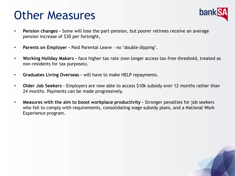### Other Measures



- **Pension changes -** Some will lose the part-pension, but poorer retirees receive an average pension increase of \$30 per fortnight,
- **Parents on Employer -** Paid Parental Leave no 'double dipping'.
- **Working Holiday Makers –** face higher tax rate (non longer access tax-free threshold, treated as non-residents for tax purposes).
- **Graduates Living Overseas –** will have to make HELP repayments.
- **Older Job Seekers –** Employers are now able to access \$10k subsidy over 12 months rather than 24 months. Payments can be made progressively.
- **Measures with the aim to boost workplace productivity -** Stronger penalties for job seekers who fail to comply with requirements, consolidating wage subsidy plans, and a National Work Experience program.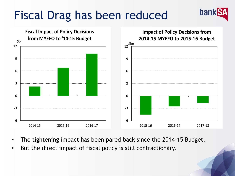## Fiscal Drag has been reduced



banl

- The tightening impact has been pared back since the 2014-15 Budget.
- But the direct impact of fiscal policy is still contractionary.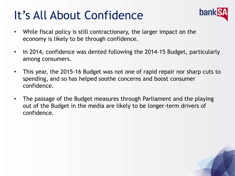## It's All About Confidence



- While fiscal policy is still contractionary, the larger impact on the economy is likely to be through confidence.
- In 2014, confidence was dented following the 2014-15 Budget, particularly among consumers.
- This year, the 2015-16 Budget was not one of rapid repair nor sharp cuts to spending, and so has helped soothe concerns and boost consumer confidence.
- The passage of the Budget measures through Parliament and the playing out of the Budget in the media are likely to be longer-term drivers of confidence.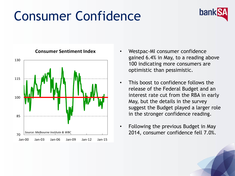## Consumer Confidence





#### **Consumer Sentiment Index**

- Westpac-MI consumer confidence gained 6.4% in May, to a reading above 100 indicating more consumers are optimistic than pessimistic.
- This boost to confidence follows the release of the Federal Budget and an interest rate cut from the RBA in early May, but the details in the survey suggest the Budget played a larger role in the stronger confidence reading.
- Following the previous Budget in May 2014, consumer confidence fell 7.0%.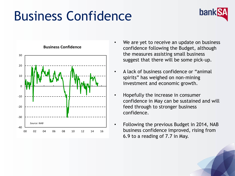## Business Confidence





**Business Confidence**

- We are yet to receive an update on business confidence following the Budget, although the measures assisting small business suggest that there will be some pick-up.
- A lack of business confidence or "animal spirits" has weighed on non-mining investment and economic growth.
- Hopefully the increase in consumer confidence in May can be sustained and will feed through to stronger business confidence.
- Following the previous Budget in 2014, NAB business confidence improved, rising from 6.9 to a reading of 7.7 in May.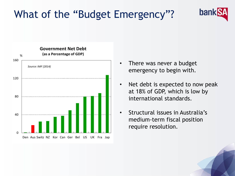### What of the "Budget Emergency"?



- There was never a budget emergency to begin with.
- Net debt is expected to now peak at 18% of GDP, which is low by international standards.

**bank** 

• Structural issues in Australia's medium-term fiscal position require resolution.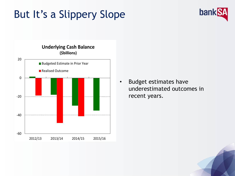### But It's a Slippery Slope





• Budget estimates have underestimated outcomes in recent years.

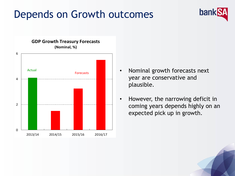### Depends on Growth outcomes



• Nominal growth forecasts next year are conservative and plausible.

bank

• However, the narrowing deficit in coming years depends highly on an expected pick up in growth.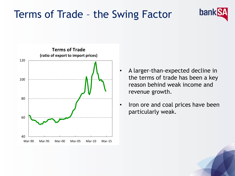#### Terms of Trade – the Swing Factor



• A larger-than-expected decline in the terms of trade has been a key reason behind weak income and revenue growth.

bank

• Iron ore and coal prices have been particularly weak.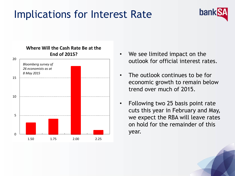### Implications for Interest Rate





- We see limited impact on the outlook for official interest rates.
- The outlook continues to be for economic growth to remain below trend over much of 2015.
- Following two 25 basis point rate cuts this year in February and May, we expect the RBA will leave rates on hold for the remainder of this year.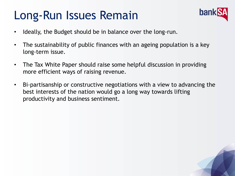## Long-Run Issues Remain



- Ideally, the Budget should be in balance over the long-run.
- The sustainability of public finances with an ageing population is a key long-term issue.
- The Tax White Paper should raise some helpful discussion in providing more efficient ways of raising revenue.
- Bi-partisanship or constructive negotiations with a view to advancing the best interests of the nation would go a long way towards lifting productivity and business sentiment.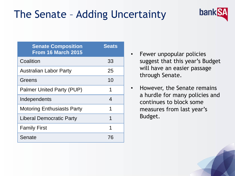### The Senate – Adding Uncertainty

| <b>Senate Composition</b><br><b>From 16 March 2015</b> | <b>Seats</b> |
|--------------------------------------------------------|--------------|
| Coalition                                              | 33           |
| <b>Australian Labor Party</b>                          | 25           |
| Greens                                                 | 10           |
| <b>Palmer United Party (PUP)</b>                       | 1            |
| Independents                                           | 4            |
| <b>Motoring Enthusiasts Party</b>                      | 1            |
| <b>Liberal Democratic Party</b>                        | 1            |
| <b>Family First</b>                                    | 1            |
| Senate                                                 | 76           |

• Fewer unpopular policies suggest that this year's Budget will have an easier passage through Senate.

bank

• However, the Senate remains a hurdle for many policies and continues to block some measures from last year's Budget.